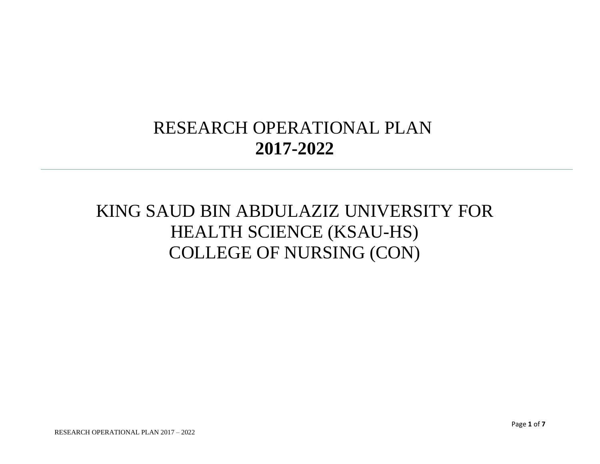## RESEARCH OPERATIONAL PLAN **2017-2022**

## KING SAUD BIN ABDULAZIZ UNIVERSITY FOR HEALTH SCIENCE (KSAU-HS) COLLEGE OF NURSING (CON)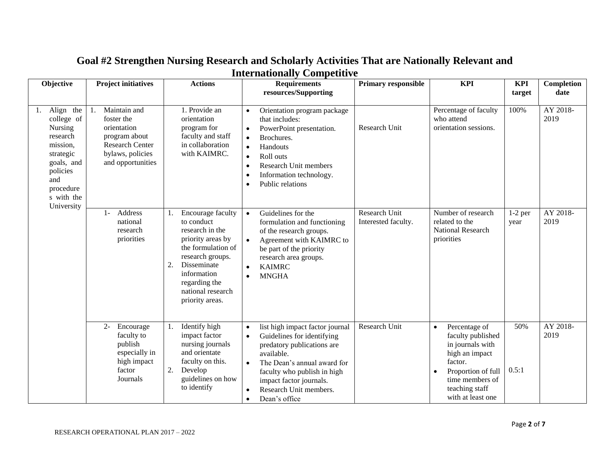| Objective                                                                                                                                               | <b>Project initiatives</b>                                                                                                                       | <b>Actions</b>                                                                                                                                                                            | <b>Requirements</b><br>resources/Supporting                                                                                                                                                                                                                                                                                         | <b>Primary responsible</b>     | <b>KPI</b>                                                                                                                                                                                    | <b>KPI</b><br>target | <b>Completion</b><br>date    |
|---------------------------------------------------------------------------------------------------------------------------------------------------------|--------------------------------------------------------------------------------------------------------------------------------------------------|-------------------------------------------------------------------------------------------------------------------------------------------------------------------------------------------|-------------------------------------------------------------------------------------------------------------------------------------------------------------------------------------------------------------------------------------------------------------------------------------------------------------------------------------|--------------------------------|-----------------------------------------------------------------------------------------------------------------------------------------------------------------------------------------------|----------------------|------------------------------|
| Align the<br>1.<br>college of<br>Nursing<br>research<br>mission,<br>strategic<br>goals, and<br>policies<br>and<br>procedure<br>s with the<br>University | Maintain and<br>foster the<br>orientation<br>program about<br><b>Research Center</b><br>bylaws, policies<br>and opportunities<br>Address<br>$1-$ | 1. Provide an<br>orientation<br>program for<br>faculty and staff<br>in collaboration<br>with KAIMRC.<br>Encourage faculty<br>1.                                                           | Orientation program package<br>$\bullet$<br>that includes:<br>PowerPoint presentation.<br>$\bullet$<br>Brochures.<br>$\bullet$<br>Handouts<br>$\bullet$<br>Roll outs<br>$\bullet$<br>Research Unit members<br>$\bullet$<br>Information technology.<br>$\bullet$<br>Public relations<br>$\bullet$<br>Guidelines for the<br>$\bullet$ | Research Unit<br>Research Unit | Percentage of faculty<br>who attend<br>orientation sessions.<br>Number of research                                                                                                            | 100%<br>$1-2$ per    | AY 2018-<br>2019<br>AY 2018- |
|                                                                                                                                                         | national<br>research<br>priorities                                                                                                               | to conduct<br>research in the<br>priority areas by<br>the formulation of<br>research groups.<br>Disseminate<br>2.<br>information<br>regarding the<br>national research<br>priority areas. | formulation and functioning<br>of the research groups.<br>Agreement with KAIMRC to<br>be part of the priority<br>research area groups.<br><b>KAIMRC</b><br>$\bullet$<br><b>MNGHA</b><br>$\bullet$                                                                                                                                   | Interested faculty.            | related to the<br>National Research<br>priorities                                                                                                                                             | year                 | 2019                         |
|                                                                                                                                                         | $2 -$<br>Encourage<br>faculty to<br>publish<br>especially in<br>high impact<br>factor<br>Journals                                                | Identify high<br>1.<br>impact factor<br>nursing journals<br>and orientate<br>faculty on this.<br>2.<br>Develop<br>guidelines on how<br>to identify                                        | list high impact factor journal<br>$\bullet$<br>Guidelines for identifying<br>$\bullet$<br>predatory publications are<br>available.<br>The Dean's annual award for<br>$\bullet$<br>faculty who publish in high<br>impact factor journals.<br>Research Unit members.<br>$\bullet$<br>Dean's office<br>$\bullet$                      | Research Unit                  | Percentage of<br>$\bullet$<br>faculty published<br>in journals with<br>high an impact<br>factor.<br>Proportion of full<br>$\bullet$<br>time members of<br>teaching staff<br>with at least one | 50%<br>0.5:1         | AY 2018-<br>2019             |

## **Goal #2 Strengthen Nursing Research and Scholarly Activities That are Nationally Relevant and Internationally Competitive**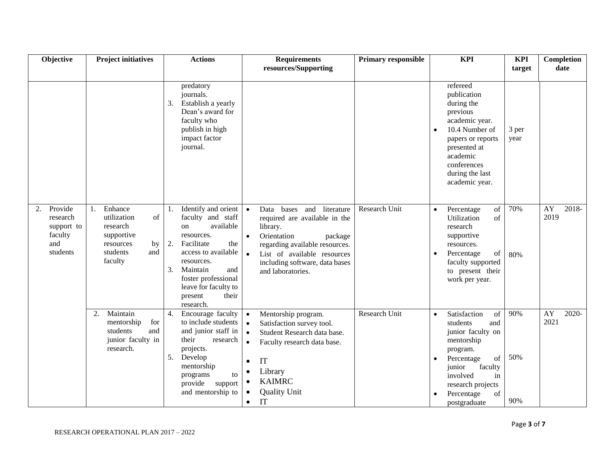| Objective                                                             | <b>Project initiatives</b>                                                                                              | <b>Actions</b>                                                                                                                                                                                                                                     | <b>Requirements</b>                                                                                                                                                                                                                                                                                | <b>Primary responsible</b> | <b>KPI</b>                                                                                                                                                                                                                         | <b>KPI</b>        | Completion                          |
|-----------------------------------------------------------------------|-------------------------------------------------------------------------------------------------------------------------|----------------------------------------------------------------------------------------------------------------------------------------------------------------------------------------------------------------------------------------------------|----------------------------------------------------------------------------------------------------------------------------------------------------------------------------------------------------------------------------------------------------------------------------------------------------|----------------------------|------------------------------------------------------------------------------------------------------------------------------------------------------------------------------------------------------------------------------------|-------------------|-------------------------------------|
|                                                                       |                                                                                                                         |                                                                                                                                                                                                                                                    | resources/Supporting                                                                                                                                                                                                                                                                               |                            |                                                                                                                                                                                                                                    | target            | date                                |
|                                                                       |                                                                                                                         | predatory<br>journals.<br>Establish a yearly<br>3.<br>Dean's award for<br>faculty who<br>publish in high<br>impact factor<br>journal.                                                                                                              |                                                                                                                                                                                                                                                                                                    |                            | refereed<br>publication<br>during the<br>previous<br>academic year.<br>10.4 Number of<br>$\bullet$<br>papers or reports<br>presented at<br>academic<br>conferences<br>during the last<br>academic year.                            | 3 per<br>year     |                                     |
| Provide<br>2.<br>research<br>support to<br>faculty<br>and<br>students | Enhance<br>$\mathbf{1}$<br>utilization<br>of<br>research<br>supportive<br>resources<br>by<br>students<br>and<br>faculty | Identify and orient<br>faculty and staff<br>available<br>on<br>resources.<br>2.<br>Facilitate<br>the<br>access to available<br>resources.<br>Maintain<br>and<br>3.<br>foster professional<br>leave for faculty to<br>their<br>present<br>research. | bases and<br>literature<br>Data<br>$\bullet$<br>required are available in the<br>library.<br>Orientation<br>$\bullet$<br>package<br>regarding available resources.<br>List of available resources<br>$\bullet$<br>including software, data bases<br>and laboratories.                              | Research Unit              | of<br>Percentage<br>$\bullet$<br>Utilization<br>of<br>research<br>supportive<br>resources.<br>Percentage<br>of<br>$\bullet$<br>faculty supported<br>to present their<br>work per year.                                             | 70%<br>80%        | $\overline{AY}$<br>$2018-$<br>2019  |
|                                                                       | Maintain<br>2.<br>for<br>mentorship<br>students<br>and<br>junior faculty in<br>research.                                | 4.<br>Encourage faculty<br>to include students<br>and junior staff in<br>their<br>research<br>projects.<br>Develop<br>5.<br>mentorship<br>programs<br>to<br>provide support<br>and mentorship to                                                   | Mentorship program.<br>$\bullet$<br>Satisfaction survey tool.<br>$\bullet$<br>Student Research data base.<br>$\bullet$<br>Faculty research data base.<br>$\bullet$<br>IT<br>$\bullet$<br>Library<br>$\bullet$<br><b>KAIMRC</b><br>$\bullet$<br><b>Quality Unit</b><br>$\bullet$<br>IT<br>$\bullet$ | Research Unit              | Satisfaction<br>of<br>$\bullet$<br>students<br>and<br>junior faculty on<br>mentorship<br>program.<br>Percentage<br>of<br>$\bullet$<br>faculty<br>junior<br>involved<br>in<br>research projects<br>of<br>Percentage<br>postgraduate | 90%<br>50%<br>90% | $\overline{AY}$<br>$2020 -$<br>2021 |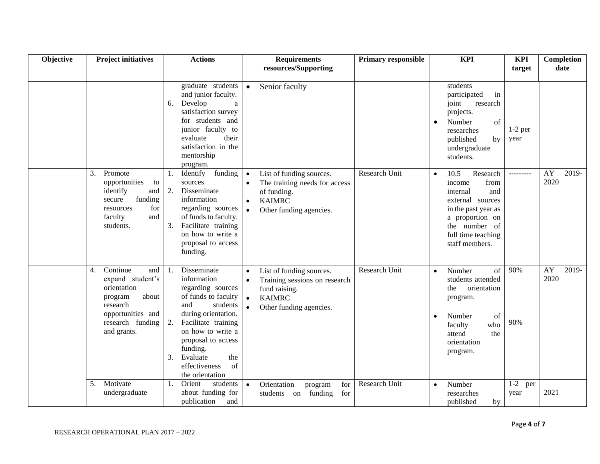| Objective | <b>Project initiatives</b>                                                                                                                       | <b>Actions</b>                                                                                                                                                                                                                                                                | <b>Requirements</b><br>resources/Supporting                                                                                                                                | <b>Primary responsible</b> | <b>KPI</b>                                                                                                                                                                                | <b>KPI</b><br>target   | Completion<br>date  |
|-----------|--------------------------------------------------------------------------------------------------------------------------------------------------|-------------------------------------------------------------------------------------------------------------------------------------------------------------------------------------------------------------------------------------------------------------------------------|----------------------------------------------------------------------------------------------------------------------------------------------------------------------------|----------------------------|-------------------------------------------------------------------------------------------------------------------------------------------------------------------------------------------|------------------------|---------------------|
|           |                                                                                                                                                  | graduate students<br>and junior faculty.<br>Develop<br>$\rm{a}$<br>6.<br>satisfaction survey<br>for students and<br>junior faculty to<br>their<br>evaluate<br>satisfaction in the<br>mentorship<br>program.                                                                   | Senior faculty<br>$\bullet$                                                                                                                                                |                            | students<br>participated<br>in<br>joint<br>research<br>projects.<br>Number<br>of<br>$\bullet$<br>researches<br>published<br>by<br>undergraduate<br>students.                              | $1-2$ per<br>year      |                     |
|           | 3.<br>Promote<br>opportunities<br>to<br>identify<br>and<br>funding<br>secure<br>for<br>resources<br>faculty<br>and<br>students.                  | funding<br>Identify<br>1.<br>sources.<br>2.<br>Disseminate<br>information<br>regarding sources<br>of funds to faculty.<br>Facilitate training<br>3.<br>on how to write a<br>proposal to access<br>funding.                                                                    | List of funding sources.<br>$\bullet$<br>The training needs for access<br>of funding.<br><b>KAIMRC</b><br>$\bullet$<br>Other funding agencies.<br>$\bullet$                | Research Unit              | 10.5<br>Research<br>$\bullet$<br>from<br>income<br>internal<br>and<br>external sources<br>in the past year as<br>a proportion on<br>the number of<br>full time teaching<br>staff members. | ---------              | 2019-<br>AY<br>2020 |
|           | Continue<br>4.<br>and<br>expand student's<br>orientation<br>about<br>program<br>research<br>opportunities and<br>research funding<br>and grants. | Disseminate<br>1.<br>information<br>regarding sources<br>of funds to faculty<br>and<br>students<br>during orientation.<br>Facilitate training<br>2.<br>on how to write a<br>proposal to access<br>funding.<br>the<br>3.<br>Evaluate<br>of<br>effectiveness<br>the orientation | List of funding sources.<br>$\bullet$<br>Training sessions on research<br>$\bullet$<br>fund raising.<br><b>KAIMRC</b><br>$\bullet$<br>Other funding agencies.<br>$\bullet$ | Research Unit              | Number<br>of<br>$\bullet$<br>students attended<br>orientation<br>the<br>program.<br>Number<br>of<br>$\bullet$<br>who<br>faculty<br>the<br>attend<br>orientation<br>program.               | 90%<br>90%             | AY<br>2019-<br>2020 |
|           | 5. Motivate<br>undergraduate                                                                                                                     | Orient<br>students<br>1.<br>about funding for<br>publication<br>and                                                                                                                                                                                                           | Orientation<br>program<br>for<br>$\bullet$<br>students on funding<br>for                                                                                                   | Research Unit              | Number<br>$\bullet$<br>researches<br>published<br>by                                                                                                                                      | $1 - 2$<br>per<br>year | 2021                |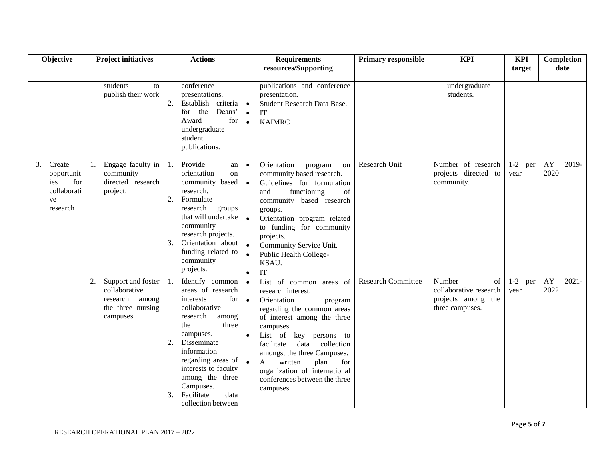| Objective                                                                 | <b>Project initiatives</b>                                                                    | <b>Actions</b>                                                                                                                                                                                                                                                                                        | <b>Requirements</b>                                                                                                                                                                                                                                                                                                                                                                                         | <b>Primary responsible</b> | <b>KPI</b>                                                                      | <b>KPI</b>        | Completion             |
|---------------------------------------------------------------------------|-----------------------------------------------------------------------------------------------|-------------------------------------------------------------------------------------------------------------------------------------------------------------------------------------------------------------------------------------------------------------------------------------------------------|-------------------------------------------------------------------------------------------------------------------------------------------------------------------------------------------------------------------------------------------------------------------------------------------------------------------------------------------------------------------------------------------------------------|----------------------------|---------------------------------------------------------------------------------|-------------------|------------------------|
|                                                                           |                                                                                               |                                                                                                                                                                                                                                                                                                       | resources/Supporting                                                                                                                                                                                                                                                                                                                                                                                        |                            |                                                                                 | target            | date                   |
|                                                                           | students<br>to<br>publish their work                                                          | conference<br>presentations.<br>Establish criteria<br>2.<br>Deans'<br>for the<br>Award<br>for<br>undergraduate<br>student<br>publications.                                                                                                                                                            | publications and conference<br>presentation.<br>Student Research Data Base.<br>$\bullet$<br>IT<br>$\bullet$<br><b>KAIMRC</b><br>$\bullet$                                                                                                                                                                                                                                                                   |                            | undergraduate<br>students.                                                      |                   |                        |
| Create<br>3.<br>opportunit<br>for<br>ies<br>collaborati<br>ve<br>research | Engage faculty in<br>1.<br>community<br>directed research<br>project.                         | Provide<br>1.<br>an<br>orientation<br>on<br>community based<br>research.<br>2.<br>Formulate<br>research<br>groups<br>that will undertake<br>community<br>research projects.<br>Orientation about<br>3.<br>funding related to<br>community<br>projects.                                                | Orientation<br>program<br>on<br>$\bullet$<br>community based research.<br>Guidelines for formulation<br>$\bullet$<br>functioning<br>of<br>and<br>community based research<br>groups.<br>$\bullet$<br>Orientation program related<br>to funding for community<br>projects.<br>$\bullet$<br>Community Service Unit.<br>Public Health College-<br>KSAU.<br>IT<br>$\bullet$                                     | Research Unit              | Number of research<br>projects directed to<br>community.                        | $1-2$ per<br>year | AY<br>2019-<br>2020    |
|                                                                           | Support and foster<br>2.<br>collaborative<br>research among<br>the three nursing<br>campuses. | Identify common<br>1.<br>areas of research<br>interests<br>for<br>collaborative<br>research<br>among<br>three<br>the<br>campuses.<br>Disseminate<br>2.<br>information<br>regarding areas of<br>interests to faculty<br>among the three<br>Campuses.<br>Facilitate<br>data<br>3.<br>collection between | List of common areas of<br>$\bullet$<br>research interest.<br>Orientation<br>$\bullet$<br>program<br>regarding the common areas<br>of interest among the three<br>campuses.<br>List of key persons to<br>$\bullet$<br>facilitate<br>data collection<br>amongst the three Campuses.<br>written<br>$\mathbf{A}$<br>plan<br>for<br>organization of international<br>conferences between the three<br>campuses. | <b>Research Committee</b>  | Number<br>of<br>collaborative research<br>projects among the<br>three campuses. | $1-2$ per<br>year | AY<br>$2021 -$<br>2022 |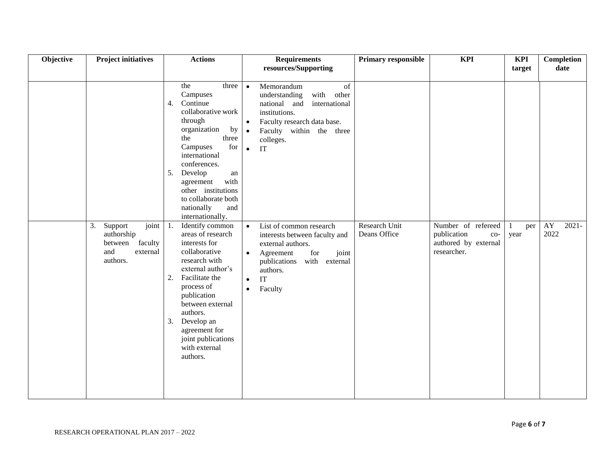| Objective | <b>Project initiatives</b>                                                                | <b>Actions</b>                                                                                                                                                                                                                                                                                                  | <b>Requirements</b><br>resources/Supporting                                                                                                                                                                                         | <b>Primary responsible</b>    | <b>KPI</b>                                                                        | <b>KPI</b><br>target | Completion<br>date     |
|-----------|-------------------------------------------------------------------------------------------|-----------------------------------------------------------------------------------------------------------------------------------------------------------------------------------------------------------------------------------------------------------------------------------------------------------------|-------------------------------------------------------------------------------------------------------------------------------------------------------------------------------------------------------------------------------------|-------------------------------|-----------------------------------------------------------------------------------|----------------------|------------------------|
|           |                                                                                           | the<br>three<br>Campuses<br>Continue<br>4.<br>collaborative work<br>through<br>by<br>organization<br>the<br>three<br>for<br>Campuses<br>international<br>conferences.<br>Develop<br>5.<br>${\rm an}$<br>with<br>agreement<br>other institutions<br>to collaborate both<br>nationally<br>and<br>internationally. | Memorandum<br>of<br>$\bullet$<br>with<br>understanding<br>other<br>national and international<br>institutions.<br>Faculty research data base.<br>$\bullet$<br>Faculty within the three<br>$\bullet$<br>colleges.<br>IT<br>$\bullet$ |                               |                                                                                   |                      |                        |
|           | 3.<br>Support<br>joint<br>authorship<br>faculty<br>between<br>and<br>external<br>authors. | 1.<br>Identify common<br>areas of research<br>interests for<br>collaborative<br>research with<br>external author's<br>Facilitate the<br>2.<br>process of<br>publication<br>between external<br>authors.<br>Develop an<br>3.<br>agreement for<br>joint publications<br>with external<br>authors.                 | List of common research<br>$\bullet$<br>interests between faculty and<br>external authors.<br>for<br>joint<br>Agreement<br>$\bullet$<br>publications with external<br>authors.<br>IT<br>$\bullet$<br>Faculty<br>$\bullet$           | Research Unit<br>Deans Office | Number of refereed<br>publication<br>$CO-$<br>authored by external<br>researcher. | per<br>year          | AY<br>$2021 -$<br>2022 |